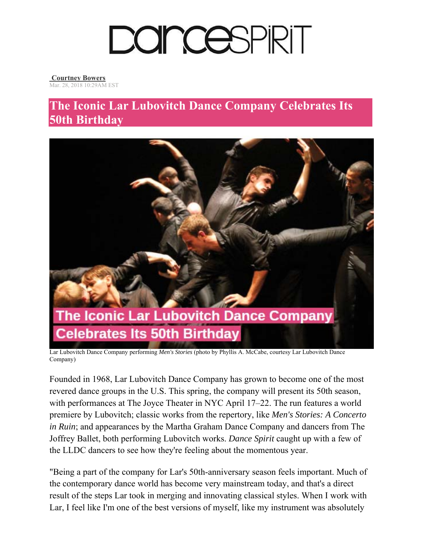

## **Courtney Bowers**

Mar. 28, 2018 10:29AM EST

## **The Iconic Lar Lubovitch Dance Company Celebrates Its 50th Birthday**



Lar Lubovitch Dance Company performing *Men's Stories* (photo by Phyllis A. McCabe, courtesy Lar Lubovitch Dance Company)

Founded in 1968, Lar Lubovitch Dance Company has grown to become one of the most revered dance groups in the U.S. This spring, the company will present its 50th season, with performances at The Joyce Theater in NYC April 17–22. The run features a world premiere by Lubovitch; classic works from the repertory, like *Men's Stories: A Concerto in Ruin*; and appearances by the Martha Graham Dance Company and dancers from The Joffrey Ballet, both performing Lubovitch works. *Dance Spirit* caught up with a few of the LLDC dancers to see how they're feeling about the momentous year.

"Being a part of the company for Lar's 50th-anniversary season feels important. Much of the contemporary dance world has become very mainstream today, and that's a direct result of the steps Lar took in merging and innovating classical styles. When I work with Lar, I feel like I'm one of the best versions of myself, like my instrument was absolutely